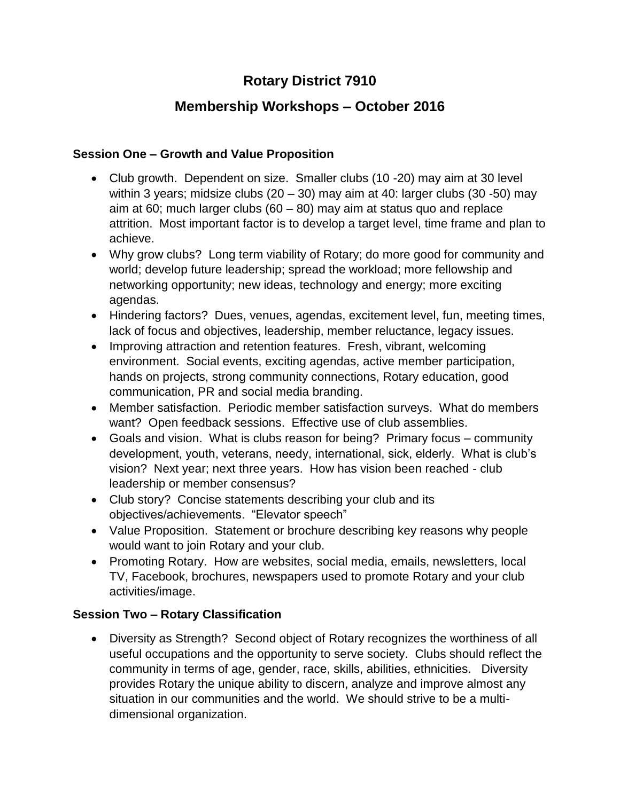# **Rotary District 7910**

## **Membership Workshops – October 2016**

#### **Session One – Growth and Value Proposition**

- Club growth. Dependent on size. Smaller clubs (10 -20) may aim at 30 level within 3 years; midsize clubs  $(20 - 30)$  may aim at 40: larger clubs  $(30 - 50)$  may aim at 60; much larger clubs  $(60 - 80)$  may aim at status quo and replace attrition. Most important factor is to develop a target level, time frame and plan to achieve.
- Why grow clubs? Long term viability of Rotary; do more good for community and world; develop future leadership; spread the workload; more fellowship and networking opportunity; new ideas, technology and energy; more exciting agendas.
- Hindering factors? Dues, venues, agendas, excitement level, fun, meeting times, lack of focus and objectives, leadership, member reluctance, legacy issues.
- Improving attraction and retention features. Fresh, vibrant, welcoming environment. Social events, exciting agendas, active member participation, hands on projects, strong community connections, Rotary education, good communication, PR and social media branding.
- Member satisfaction. Periodic member satisfaction surveys. What do members want? Open feedback sessions. Effective use of club assemblies.
- Goals and vision. What is clubs reason for being? Primary focus community development, youth, veterans, needy, international, sick, elderly. What is club's vision? Next year; next three years. How has vision been reached - club leadership or member consensus?
- Club story? Concise statements describing your club and its objectives/achievements. "Elevator speech"
- Value Proposition. Statement or brochure describing key reasons why people would want to join Rotary and your club.
- Promoting Rotary. How are websites, social media, emails, newsletters, local TV, Facebook, brochures, newspapers used to promote Rotary and your club activities/image.

### **Session Two – Rotary Classification**

 Diversity as Strength? Second object of Rotary recognizes the worthiness of all useful occupations and the opportunity to serve society. Clubs should reflect the community in terms of age, gender, race, skills, abilities, ethnicities. Diversity provides Rotary the unique ability to discern, analyze and improve almost any situation in our communities and the world. We should strive to be a multidimensional organization.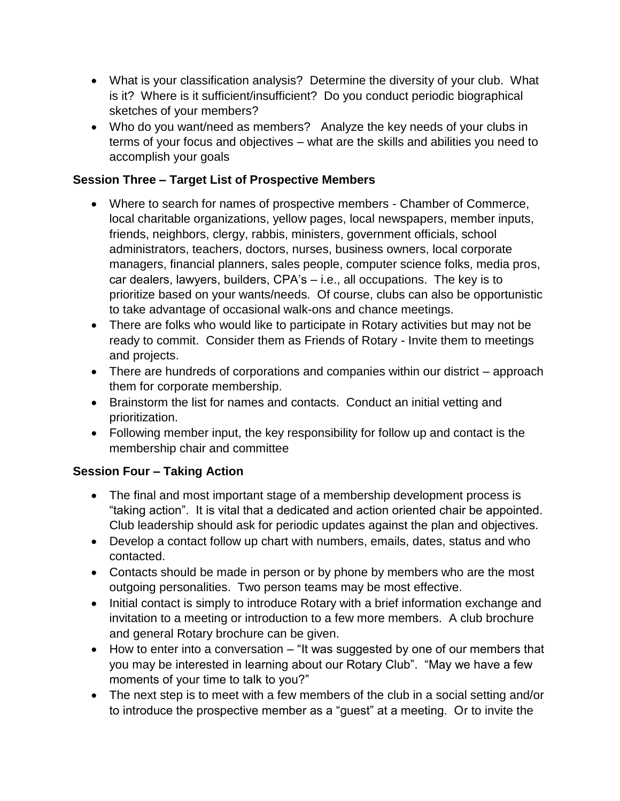- What is your classification analysis? Determine the diversity of your club. What is it? Where is it sufficient/insufficient? Do you conduct periodic biographical sketches of your members?
- Who do you want/need as members? Analyze the key needs of your clubs in terms of your focus and objectives – what are the skills and abilities you need to accomplish your goals

#### **Session Three – Target List of Prospective Members**

- Where to search for names of prospective members Chamber of Commerce, local charitable organizations, yellow pages, local newspapers, member inputs, friends, neighbors, clergy, rabbis, ministers, government officials, school administrators, teachers, doctors, nurses, business owners, local corporate managers, financial planners, sales people, computer science folks, media pros, car dealers, lawyers, builders, CPA's – i.e., all occupations. The key is to prioritize based on your wants/needs. Of course, clubs can also be opportunistic to take advantage of occasional walk-ons and chance meetings.
- There are folks who would like to participate in Rotary activities but may not be ready to commit. Consider them as Friends of Rotary - Invite them to meetings and projects.
- There are hundreds of corporations and companies within our district approach them for corporate membership.
- Brainstorm the list for names and contacts. Conduct an initial vetting and prioritization.
- Following member input, the key responsibility for follow up and contact is the membership chair and committee

### **Session Four – Taking Action**

- The final and most important stage of a membership development process is "taking action". It is vital that a dedicated and action oriented chair be appointed. Club leadership should ask for periodic updates against the plan and objectives.
- Develop a contact follow up chart with numbers, emails, dates, status and who contacted.
- Contacts should be made in person or by phone by members who are the most outgoing personalities. Two person teams may be most effective.
- Initial contact is simply to introduce Rotary with a brief information exchange and invitation to a meeting or introduction to a few more members. A club brochure and general Rotary brochure can be given.
- How to enter into a conversation "It was suggested by one of our members that you may be interested in learning about our Rotary Club". "May we have a few moments of your time to talk to you?"
- The next step is to meet with a few members of the club in a social setting and/or to introduce the prospective member as a "guest" at a meeting. Or to invite the